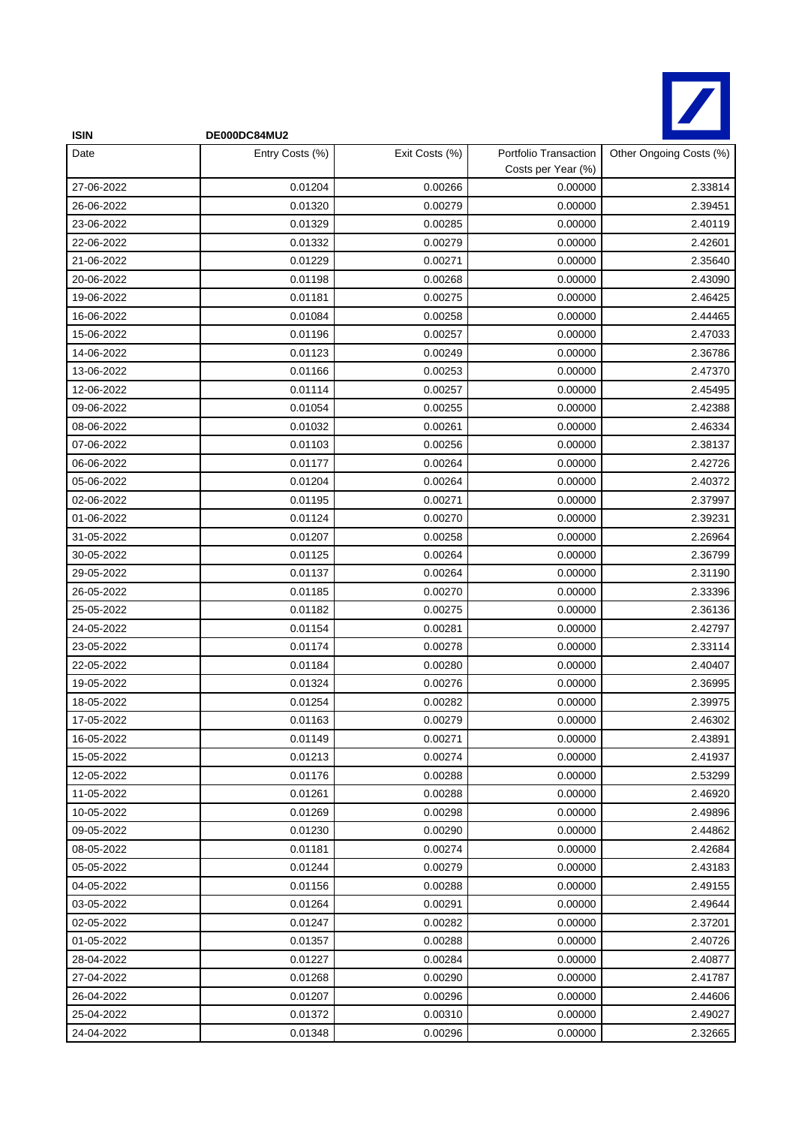

| <b>ISIN</b> | DE000DC84MU2    |                |                                             |                         |
|-------------|-----------------|----------------|---------------------------------------------|-------------------------|
| Date        | Entry Costs (%) | Exit Costs (%) | Portfolio Transaction<br>Costs per Year (%) | Other Ongoing Costs (%) |
| 27-06-2022  | 0.01204         | 0.00266        | 0.00000                                     | 2.33814                 |
| 26-06-2022  | 0.01320         | 0.00279        | 0.00000                                     | 2.39451                 |
| 23-06-2022  | 0.01329         | 0.00285        | 0.00000                                     | 2.40119                 |
| 22-06-2022  | 0.01332         | 0.00279        | 0.00000                                     | 2.42601                 |
| 21-06-2022  | 0.01229         | 0.00271        | 0.00000                                     | 2.35640                 |
| 20-06-2022  | 0.01198         | 0.00268        | 0.00000                                     | 2.43090                 |
| 19-06-2022  | 0.01181         | 0.00275        | 0.00000                                     | 2.46425                 |
| 16-06-2022  | 0.01084         | 0.00258        | 0.00000                                     | 2.44465                 |
| 15-06-2022  | 0.01196         | 0.00257        | 0.00000                                     | 2.47033                 |
| 14-06-2022  | 0.01123         | 0.00249        | 0.00000                                     | 2.36786                 |
| 13-06-2022  | 0.01166         | 0.00253        | 0.00000                                     | 2.47370                 |
| 12-06-2022  | 0.01114         | 0.00257        | 0.00000                                     | 2.45495                 |
| 09-06-2022  | 0.01054         | 0.00255        | 0.00000                                     | 2.42388                 |
| 08-06-2022  | 0.01032         | 0.00261        | 0.00000                                     | 2.46334                 |
| 07-06-2022  | 0.01103         | 0.00256        | 0.00000                                     | 2.38137                 |
| 06-06-2022  | 0.01177         | 0.00264        | 0.00000                                     | 2.42726                 |
| 05-06-2022  | 0.01204         | 0.00264        | 0.00000                                     | 2.40372                 |
| 02-06-2022  | 0.01195         | 0.00271        | 0.00000                                     | 2.37997                 |
| 01-06-2022  | 0.01124         | 0.00270        | 0.00000                                     | 2.39231                 |
| 31-05-2022  | 0.01207         | 0.00258        | 0.00000                                     | 2.26964                 |
| 30-05-2022  | 0.01125         | 0.00264        | 0.00000                                     | 2.36799                 |
| 29-05-2022  | 0.01137         | 0.00264        | 0.00000                                     | 2.31190                 |
| 26-05-2022  | 0.01185         | 0.00270        | 0.00000                                     | 2.33396                 |
| 25-05-2022  | 0.01182         | 0.00275        | 0.00000                                     | 2.36136                 |
| 24-05-2022  | 0.01154         | 0.00281        | 0.00000                                     | 2.42797                 |
| 23-05-2022  | 0.01174         | 0.00278        | 0.00000                                     | 2.33114                 |
| 22-05-2022  | 0.01184         | 0.00280        | 0.00000                                     | 2.40407                 |
| 19-05-2022  | 0.01324         | 0.00276        | 0.00000                                     | 2.36995                 |
| 18-05-2022  | 0.01254         | 0.00282        | 0.00000                                     | 2.39975                 |
| 17-05-2022  | 0.01163         | 0.00279        | 0.00000                                     | 2.46302                 |
| 16-05-2022  | 0.01149         | 0.00271        | 0.00000                                     | 2.43891                 |
| 15-05-2022  | 0.01213         | 0.00274        | 0.00000                                     | 2.41937                 |
| 12-05-2022  | 0.01176         | 0.00288        | 0.00000                                     | 2.53299                 |
| 11-05-2022  | 0.01261         | 0.00288        | 0.00000                                     | 2.46920                 |
| 10-05-2022  | 0.01269         | 0.00298        | 0.00000                                     | 2.49896                 |
| 09-05-2022  | 0.01230         | 0.00290        | 0.00000                                     | 2.44862                 |
| 08-05-2022  | 0.01181         | 0.00274        | 0.00000                                     | 2.42684                 |
| 05-05-2022  | 0.01244         | 0.00279        | 0.00000                                     | 2.43183                 |
| 04-05-2022  | 0.01156         | 0.00288        | 0.00000                                     | 2.49155                 |
| 03-05-2022  | 0.01264         | 0.00291        | 0.00000                                     | 2.49644                 |
| 02-05-2022  | 0.01247         | 0.00282        | 0.00000                                     | 2.37201                 |
| 01-05-2022  | 0.01357         | 0.00288        | 0.00000                                     | 2.40726                 |
| 28-04-2022  | 0.01227         | 0.00284        | 0.00000                                     | 2.40877                 |
| 27-04-2022  | 0.01268         | 0.00290        | 0.00000                                     | 2.41787                 |
| 26-04-2022  | 0.01207         | 0.00296        | 0.00000                                     | 2.44606                 |
| 25-04-2022  | 0.01372         | 0.00310        | 0.00000                                     | 2.49027                 |
| 24-04-2022  | 0.01348         | 0.00296        | 0.00000                                     | 2.32665                 |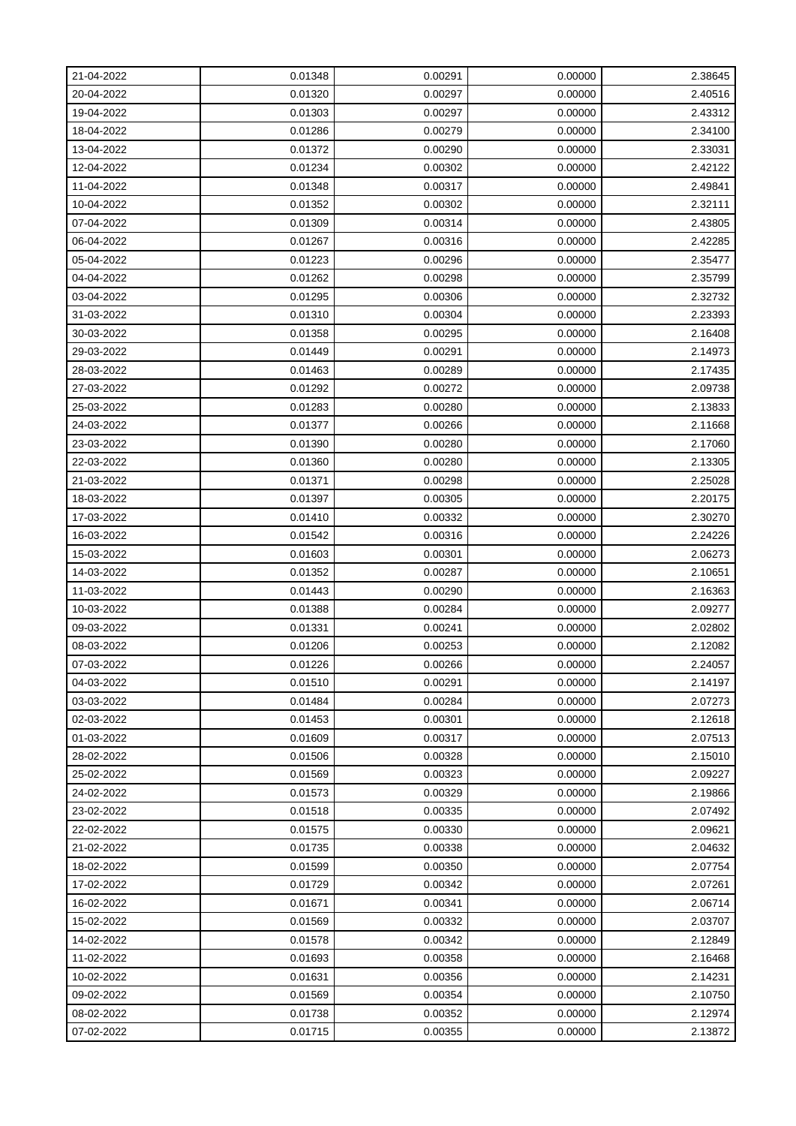| 21-04-2022 | 0.01348 | 0.00291 | 0.00000 | 2.38645 |
|------------|---------|---------|---------|---------|
| 20-04-2022 | 0.01320 | 0.00297 | 0.00000 | 2.40516 |
| 19-04-2022 | 0.01303 | 0.00297 | 0.00000 | 2.43312 |
| 18-04-2022 | 0.01286 | 0.00279 | 0.00000 | 2.34100 |
| 13-04-2022 | 0.01372 | 0.00290 | 0.00000 | 2.33031 |
| 12-04-2022 | 0.01234 | 0.00302 | 0.00000 | 2.42122 |
| 11-04-2022 | 0.01348 | 0.00317 | 0.00000 | 2.49841 |
| 10-04-2022 | 0.01352 | 0.00302 | 0.00000 | 2.32111 |
| 07-04-2022 | 0.01309 | 0.00314 | 0.00000 | 2.43805 |
| 06-04-2022 | 0.01267 | 0.00316 | 0.00000 | 2.42285 |
| 05-04-2022 | 0.01223 | 0.00296 | 0.00000 | 2.35477 |
| 04-04-2022 | 0.01262 | 0.00298 | 0.00000 | 2.35799 |
| 03-04-2022 | 0.01295 | 0.00306 | 0.00000 | 2.32732 |
| 31-03-2022 | 0.01310 | 0.00304 | 0.00000 | 2.23393 |
| 30-03-2022 | 0.01358 | 0.00295 | 0.00000 | 2.16408 |
| 29-03-2022 | 0.01449 | 0.00291 | 0.00000 | 2.14973 |
| 28-03-2022 | 0.01463 | 0.00289 | 0.00000 | 2.17435 |
| 27-03-2022 | 0.01292 | 0.00272 | 0.00000 | 2.09738 |
| 25-03-2022 | 0.01283 | 0.00280 | 0.00000 | 2.13833 |
| 24-03-2022 | 0.01377 | 0.00266 | 0.00000 | 2.11668 |
| 23-03-2022 | 0.01390 | 0.00280 | 0.00000 | 2.17060 |
| 22-03-2022 | 0.01360 | 0.00280 | 0.00000 | 2.13305 |
| 21-03-2022 | 0.01371 | 0.00298 | 0.00000 | 2.25028 |
| 18-03-2022 | 0.01397 | 0.00305 | 0.00000 | 2.20175 |
| 17-03-2022 | 0.01410 | 0.00332 | 0.00000 | 2.30270 |
| 16-03-2022 | 0.01542 | 0.00316 | 0.00000 | 2.24226 |
| 15-03-2022 | 0.01603 | 0.00301 | 0.00000 | 2.06273 |
| 14-03-2022 | 0.01352 | 0.00287 | 0.00000 | 2.10651 |
| 11-03-2022 | 0.01443 | 0.00290 | 0.00000 | 2.16363 |
| 10-03-2022 | 0.01388 | 0.00284 | 0.00000 | 2.09277 |
| 09-03-2022 | 0.01331 | 0.00241 | 0.00000 | 2.02802 |
| 08-03-2022 | 0.01206 | 0.00253 | 0.00000 | 2.12082 |
| 07-03-2022 | 0.01226 | 0.00266 | 0.00000 | 2.24057 |
| 04-03-2022 | 0.01510 | 0.00291 | 0.00000 | 2.14197 |
| 03-03-2022 | 0.01484 | 0.00284 | 0.00000 | 2.07273 |
| 02-03-2022 | 0.01453 | 0.00301 | 0.00000 | 2.12618 |
| 01-03-2022 | 0.01609 | 0.00317 | 0.00000 | 2.07513 |
| 28-02-2022 | 0.01506 | 0.00328 | 0.00000 | 2.15010 |
| 25-02-2022 | 0.01569 | 0.00323 | 0.00000 | 2.09227 |
| 24-02-2022 | 0.01573 | 0.00329 | 0.00000 | 2.19866 |
| 23-02-2022 | 0.01518 | 0.00335 | 0.00000 | 2.07492 |
| 22-02-2022 | 0.01575 | 0.00330 | 0.00000 | 2.09621 |
| 21-02-2022 | 0.01735 | 0.00338 | 0.00000 | 2.04632 |
| 18-02-2022 | 0.01599 | 0.00350 | 0.00000 | 2.07754 |
| 17-02-2022 | 0.01729 | 0.00342 | 0.00000 | 2.07261 |
| 16-02-2022 | 0.01671 | 0.00341 | 0.00000 | 2.06714 |
| 15-02-2022 | 0.01569 | 0.00332 | 0.00000 | 2.03707 |
| 14-02-2022 | 0.01578 | 0.00342 | 0.00000 | 2.12849 |
| 11-02-2022 | 0.01693 | 0.00358 | 0.00000 | 2.16468 |
| 10-02-2022 | 0.01631 | 0.00356 | 0.00000 | 2.14231 |
| 09-02-2022 | 0.01569 | 0.00354 | 0.00000 | 2.10750 |
| 08-02-2022 | 0.01738 | 0.00352 | 0.00000 | 2.12974 |
| 07-02-2022 | 0.01715 | 0.00355 | 0.00000 | 2.13872 |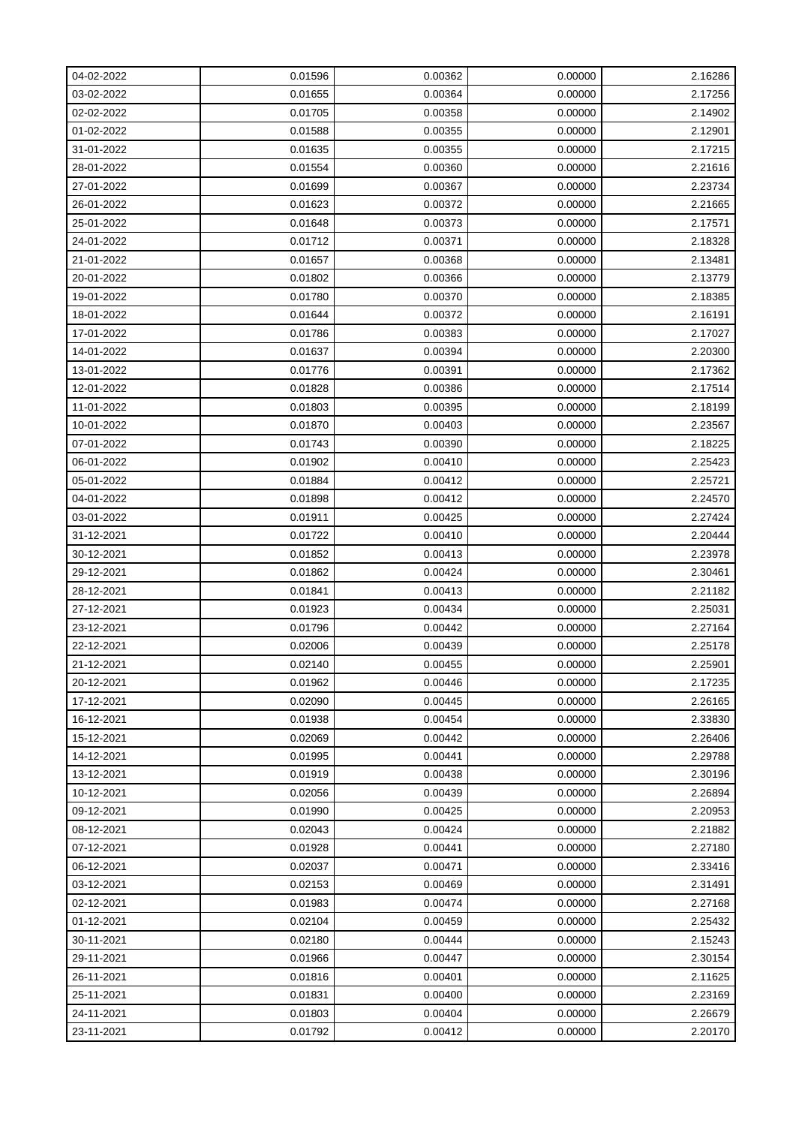| 04-02-2022 | 0.01596 | 0.00362 | 0.00000 | 2.16286 |
|------------|---------|---------|---------|---------|
| 03-02-2022 | 0.01655 | 0.00364 | 0.00000 | 2.17256 |
| 02-02-2022 | 0.01705 | 0.00358 | 0.00000 | 2.14902 |
| 01-02-2022 | 0.01588 | 0.00355 | 0.00000 | 2.12901 |
| 31-01-2022 | 0.01635 | 0.00355 | 0.00000 | 2.17215 |
| 28-01-2022 | 0.01554 | 0.00360 | 0.00000 | 2.21616 |
| 27-01-2022 | 0.01699 | 0.00367 | 0.00000 | 2.23734 |
| 26-01-2022 | 0.01623 | 0.00372 | 0.00000 | 2.21665 |
| 25-01-2022 | 0.01648 | 0.00373 | 0.00000 | 2.17571 |
| 24-01-2022 | 0.01712 | 0.00371 | 0.00000 | 2.18328 |
| 21-01-2022 | 0.01657 | 0.00368 | 0.00000 | 2.13481 |
| 20-01-2022 | 0.01802 | 0.00366 | 0.00000 | 2.13779 |
| 19-01-2022 | 0.01780 | 0.00370 | 0.00000 | 2.18385 |
| 18-01-2022 | 0.01644 | 0.00372 | 0.00000 | 2.16191 |
| 17-01-2022 | 0.01786 | 0.00383 | 0.00000 | 2.17027 |
| 14-01-2022 | 0.01637 | 0.00394 | 0.00000 | 2.20300 |
| 13-01-2022 | 0.01776 | 0.00391 | 0.00000 | 2.17362 |
| 12-01-2022 | 0.01828 | 0.00386 | 0.00000 | 2.17514 |
| 11-01-2022 | 0.01803 | 0.00395 | 0.00000 | 2.18199 |
| 10-01-2022 | 0.01870 | 0.00403 | 0.00000 | 2.23567 |
| 07-01-2022 | 0.01743 | 0.00390 | 0.00000 | 2.18225 |
| 06-01-2022 | 0.01902 | 0.00410 | 0.00000 | 2.25423 |
| 05-01-2022 | 0.01884 | 0.00412 | 0.00000 | 2.25721 |
| 04-01-2022 | 0.01898 | 0.00412 | 0.00000 | 2.24570 |
| 03-01-2022 | 0.01911 | 0.00425 | 0.00000 | 2.27424 |
| 31-12-2021 | 0.01722 | 0.00410 | 0.00000 | 2.20444 |
| 30-12-2021 | 0.01852 | 0.00413 | 0.00000 | 2.23978 |
| 29-12-2021 | 0.01862 | 0.00424 | 0.00000 | 2.30461 |
| 28-12-2021 | 0.01841 | 0.00413 | 0.00000 | 2.21182 |
| 27-12-2021 | 0.01923 | 0.00434 | 0.00000 | 2.25031 |
| 23-12-2021 | 0.01796 | 0.00442 | 0.00000 | 2.27164 |
| 22-12-2021 | 0.02006 | 0.00439 | 0.00000 | 2.25178 |
| 21-12-2021 | 0.02140 | 0.00455 | 0.00000 | 2.25901 |
| 20-12-2021 | 0.01962 | 0.00446 | 0.00000 | 2.17235 |
| 17-12-2021 | 0.02090 | 0.00445 | 0.00000 | 2.26165 |
| 16-12-2021 | 0.01938 | 0.00454 | 0.00000 | 2.33830 |
| 15-12-2021 | 0.02069 | 0.00442 | 0.00000 | 2.26406 |
| 14-12-2021 | 0.01995 | 0.00441 | 0.00000 | 2.29788 |
| 13-12-2021 | 0.01919 | 0.00438 | 0.00000 | 2.30196 |
| 10-12-2021 | 0.02056 | 0.00439 | 0.00000 | 2.26894 |
| 09-12-2021 | 0.01990 | 0.00425 | 0.00000 | 2.20953 |
| 08-12-2021 | 0.02043 | 0.00424 | 0.00000 | 2.21882 |
| 07-12-2021 | 0.01928 | 0.00441 | 0.00000 | 2.27180 |
| 06-12-2021 | 0.02037 | 0.00471 | 0.00000 | 2.33416 |
| 03-12-2021 | 0.02153 | 0.00469 | 0.00000 | 2.31491 |
| 02-12-2021 | 0.01983 | 0.00474 | 0.00000 | 2.27168 |
| 01-12-2021 | 0.02104 | 0.00459 | 0.00000 | 2.25432 |
| 30-11-2021 | 0.02180 | 0.00444 | 0.00000 | 2.15243 |
| 29-11-2021 | 0.01966 | 0.00447 | 0.00000 | 2.30154 |
| 26-11-2021 | 0.01816 | 0.00401 | 0.00000 | 2.11625 |
| 25-11-2021 | 0.01831 | 0.00400 | 0.00000 | 2.23169 |
| 24-11-2021 | 0.01803 | 0.00404 | 0.00000 | 2.26679 |
| 23-11-2021 | 0.01792 | 0.00412 | 0.00000 | 2.20170 |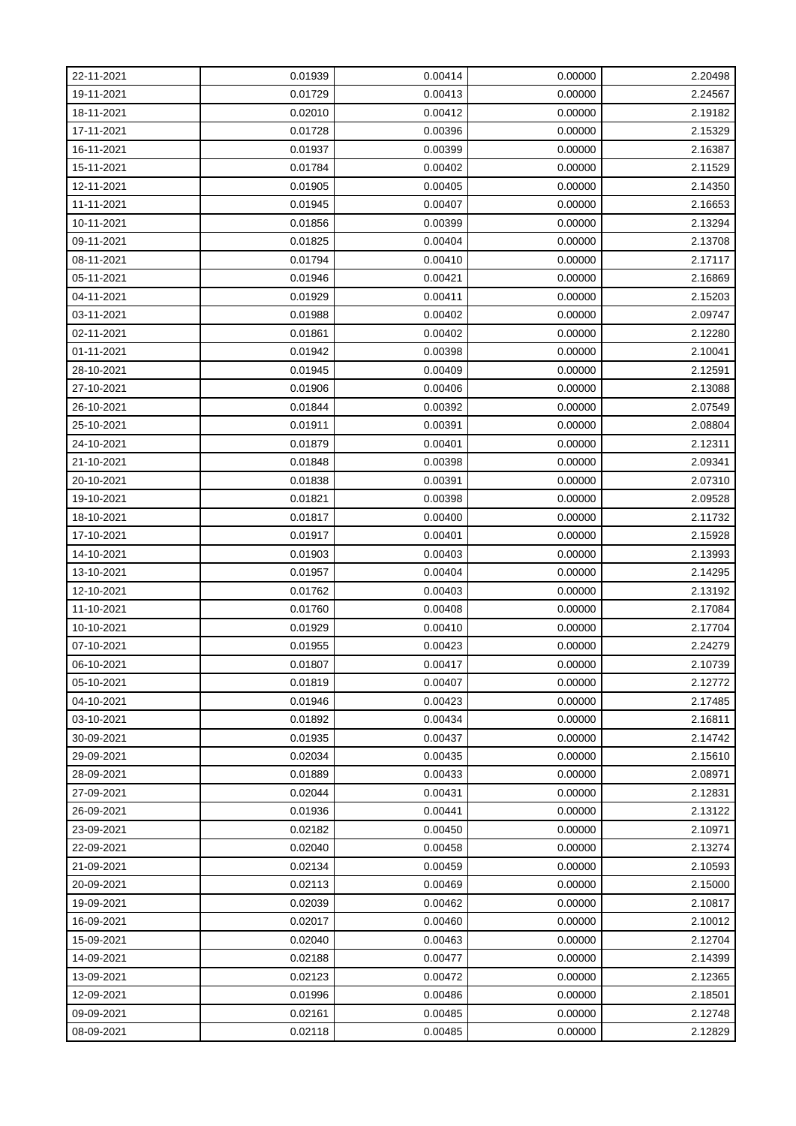| 22-11-2021 | 0.01939 | 0.00414 | 0.00000 | 2.20498 |
|------------|---------|---------|---------|---------|
| 19-11-2021 | 0.01729 | 0.00413 | 0.00000 | 2.24567 |
| 18-11-2021 | 0.02010 | 0.00412 | 0.00000 | 2.19182 |
| 17-11-2021 | 0.01728 | 0.00396 | 0.00000 | 2.15329 |
| 16-11-2021 | 0.01937 | 0.00399 | 0.00000 | 2.16387 |
| 15-11-2021 | 0.01784 | 0.00402 | 0.00000 | 2.11529 |
| 12-11-2021 | 0.01905 | 0.00405 | 0.00000 | 2.14350 |
| 11-11-2021 | 0.01945 | 0.00407 | 0.00000 | 2.16653 |
| 10-11-2021 | 0.01856 | 0.00399 | 0.00000 | 2.13294 |
| 09-11-2021 | 0.01825 | 0.00404 | 0.00000 | 2.13708 |
| 08-11-2021 | 0.01794 | 0.00410 | 0.00000 | 2.17117 |
| 05-11-2021 | 0.01946 | 0.00421 | 0.00000 | 2.16869 |
| 04-11-2021 | 0.01929 | 0.00411 | 0.00000 | 2.15203 |
| 03-11-2021 | 0.01988 | 0.00402 | 0.00000 | 2.09747 |
| 02-11-2021 | 0.01861 | 0.00402 | 0.00000 | 2.12280 |
| 01-11-2021 | 0.01942 | 0.00398 | 0.00000 | 2.10041 |
| 28-10-2021 | 0.01945 | 0.00409 | 0.00000 | 2.12591 |
| 27-10-2021 | 0.01906 | 0.00406 | 0.00000 | 2.13088 |
| 26-10-2021 | 0.01844 | 0.00392 | 0.00000 | 2.07549 |
| 25-10-2021 | 0.01911 | 0.00391 | 0.00000 | 2.08804 |
| 24-10-2021 | 0.01879 | 0.00401 | 0.00000 | 2.12311 |
| 21-10-2021 | 0.01848 | 0.00398 | 0.00000 | 2.09341 |
| 20-10-2021 | 0.01838 | 0.00391 | 0.00000 | 2.07310 |
| 19-10-2021 | 0.01821 | 0.00398 | 0.00000 | 2.09528 |
| 18-10-2021 | 0.01817 | 0.00400 | 0.00000 | 2.11732 |
| 17-10-2021 | 0.01917 | 0.00401 | 0.00000 | 2.15928 |
| 14-10-2021 | 0.01903 | 0.00403 | 0.00000 | 2.13993 |
| 13-10-2021 | 0.01957 | 0.00404 | 0.00000 | 2.14295 |
| 12-10-2021 | 0.01762 | 0.00403 | 0.00000 | 2.13192 |
| 11-10-2021 | 0.01760 | 0.00408 | 0.00000 | 2.17084 |
| 10-10-2021 | 0.01929 | 0.00410 | 0.00000 | 2.17704 |
| 07-10-2021 | 0.01955 | 0.00423 | 0.00000 | 2.24279 |
| 06-10-2021 | 0.01807 | 0.00417 | 0.00000 | 2.10739 |
| 05-10-2021 | 0.01819 | 0.00407 | 0.00000 | 2.12772 |
| 04-10-2021 | 0.01946 | 0.00423 | 0.00000 | 2.17485 |
| 03-10-2021 | 0.01892 | 0.00434 | 0.00000 | 2.16811 |
| 30-09-2021 | 0.01935 | 0.00437 | 0.00000 | 2.14742 |
| 29-09-2021 | 0.02034 | 0.00435 | 0.00000 | 2.15610 |
| 28-09-2021 | 0.01889 | 0.00433 | 0.00000 | 2.08971 |
| 27-09-2021 | 0.02044 | 0.00431 | 0.00000 | 2.12831 |
| 26-09-2021 | 0.01936 | 0.00441 | 0.00000 | 2.13122 |
| 23-09-2021 | 0.02182 | 0.00450 | 0.00000 | 2.10971 |
| 22-09-2021 | 0.02040 | 0.00458 | 0.00000 | 2.13274 |
| 21-09-2021 | 0.02134 | 0.00459 | 0.00000 | 2.10593 |
| 20-09-2021 | 0.02113 | 0.00469 | 0.00000 | 2.15000 |
| 19-09-2021 | 0.02039 | 0.00462 | 0.00000 | 2.10817 |
| 16-09-2021 | 0.02017 | 0.00460 | 0.00000 | 2.10012 |
| 15-09-2021 | 0.02040 | 0.00463 | 0.00000 | 2.12704 |
| 14-09-2021 | 0.02188 | 0.00477 | 0.00000 | 2.14399 |
| 13-09-2021 | 0.02123 | 0.00472 | 0.00000 | 2.12365 |
| 12-09-2021 | 0.01996 | 0.00486 | 0.00000 | 2.18501 |
| 09-09-2021 | 0.02161 | 0.00485 | 0.00000 | 2.12748 |
| 08-09-2021 | 0.02118 | 0.00485 | 0.00000 | 2.12829 |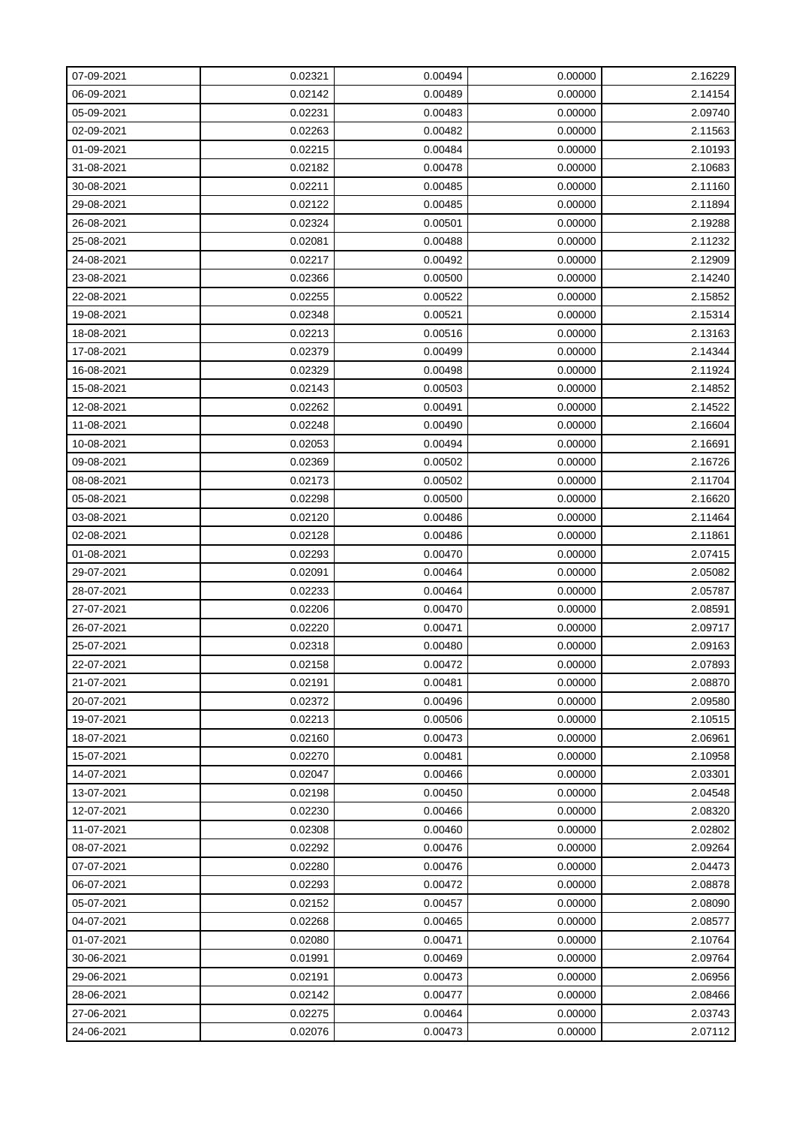| 07-09-2021 | 0.02321 | 0.00494 | 0.00000 | 2.16229 |
|------------|---------|---------|---------|---------|
| 06-09-2021 | 0.02142 | 0.00489 | 0.00000 | 2.14154 |
| 05-09-2021 | 0.02231 | 0.00483 | 0.00000 | 2.09740 |
| 02-09-2021 | 0.02263 | 0.00482 | 0.00000 | 2.11563 |
| 01-09-2021 | 0.02215 | 0.00484 | 0.00000 | 2.10193 |
| 31-08-2021 | 0.02182 | 0.00478 | 0.00000 | 2.10683 |
| 30-08-2021 | 0.02211 | 0.00485 | 0.00000 | 2.11160 |
| 29-08-2021 | 0.02122 | 0.00485 | 0.00000 | 2.11894 |
| 26-08-2021 | 0.02324 | 0.00501 | 0.00000 | 2.19288 |
| 25-08-2021 | 0.02081 | 0.00488 | 0.00000 | 2.11232 |
| 24-08-2021 | 0.02217 | 0.00492 | 0.00000 | 2.12909 |
| 23-08-2021 | 0.02366 | 0.00500 | 0.00000 | 2.14240 |
| 22-08-2021 | 0.02255 | 0.00522 | 0.00000 | 2.15852 |
| 19-08-2021 | 0.02348 | 0.00521 | 0.00000 | 2.15314 |
| 18-08-2021 | 0.02213 | 0.00516 | 0.00000 | 2.13163 |
| 17-08-2021 | 0.02379 | 0.00499 | 0.00000 | 2.14344 |
| 16-08-2021 | 0.02329 | 0.00498 | 0.00000 | 2.11924 |
| 15-08-2021 | 0.02143 | 0.00503 | 0.00000 | 2.14852 |
| 12-08-2021 | 0.02262 | 0.00491 | 0.00000 | 2.14522 |
| 11-08-2021 | 0.02248 | 0.00490 | 0.00000 | 2.16604 |
| 10-08-2021 | 0.02053 | 0.00494 | 0.00000 | 2.16691 |
| 09-08-2021 | 0.02369 | 0.00502 | 0.00000 | 2.16726 |
| 08-08-2021 | 0.02173 | 0.00502 | 0.00000 | 2.11704 |
| 05-08-2021 | 0.02298 | 0.00500 | 0.00000 | 2.16620 |
| 03-08-2021 | 0.02120 | 0.00486 | 0.00000 | 2.11464 |
| 02-08-2021 | 0.02128 | 0.00486 | 0.00000 | 2.11861 |
| 01-08-2021 | 0.02293 | 0.00470 | 0.00000 | 2.07415 |
| 29-07-2021 | 0.02091 | 0.00464 | 0.00000 | 2.05082 |
| 28-07-2021 | 0.02233 | 0.00464 | 0.00000 | 2.05787 |
| 27-07-2021 | 0.02206 | 0.00470 | 0.00000 | 2.08591 |
| 26-07-2021 | 0.02220 | 0.00471 | 0.00000 | 2.09717 |
| 25-07-2021 | 0.02318 | 0.00480 | 0.00000 | 2.09163 |
| 22-07-2021 | 0.02158 | 0.00472 | 0.00000 | 2.07893 |
| 21-07-2021 | 0.02191 | 0.00481 | 0.00000 | 2.08870 |
| 20-07-2021 | 0.02372 | 0.00496 | 0.00000 | 2.09580 |
| 19-07-2021 | 0.02213 | 0.00506 | 0.00000 | 2.10515 |
| 18-07-2021 | 0.02160 | 0.00473 | 0.00000 | 2.06961 |
| 15-07-2021 | 0.02270 | 0.00481 | 0.00000 | 2.10958 |
| 14-07-2021 | 0.02047 | 0.00466 | 0.00000 | 2.03301 |
| 13-07-2021 | 0.02198 | 0.00450 | 0.00000 | 2.04548 |
| 12-07-2021 | 0.02230 | 0.00466 | 0.00000 | 2.08320 |
| 11-07-2021 | 0.02308 | 0.00460 | 0.00000 | 2.02802 |
| 08-07-2021 | 0.02292 | 0.00476 | 0.00000 | 2.09264 |
| 07-07-2021 | 0.02280 | 0.00476 | 0.00000 | 2.04473 |
| 06-07-2021 | 0.02293 | 0.00472 | 0.00000 | 2.08878 |
| 05-07-2021 | 0.02152 | 0.00457 | 0.00000 | 2.08090 |
| 04-07-2021 | 0.02268 | 0.00465 | 0.00000 | 2.08577 |
| 01-07-2021 | 0.02080 | 0.00471 | 0.00000 | 2.10764 |
| 30-06-2021 | 0.01991 | 0.00469 | 0.00000 | 2.09764 |
| 29-06-2021 | 0.02191 | 0.00473 | 0.00000 | 2.06956 |
| 28-06-2021 | 0.02142 | 0.00477 | 0.00000 | 2.08466 |
| 27-06-2021 | 0.02275 | 0.00464 | 0.00000 | 2.03743 |
| 24-06-2021 | 0.02076 | 0.00473 | 0.00000 | 2.07112 |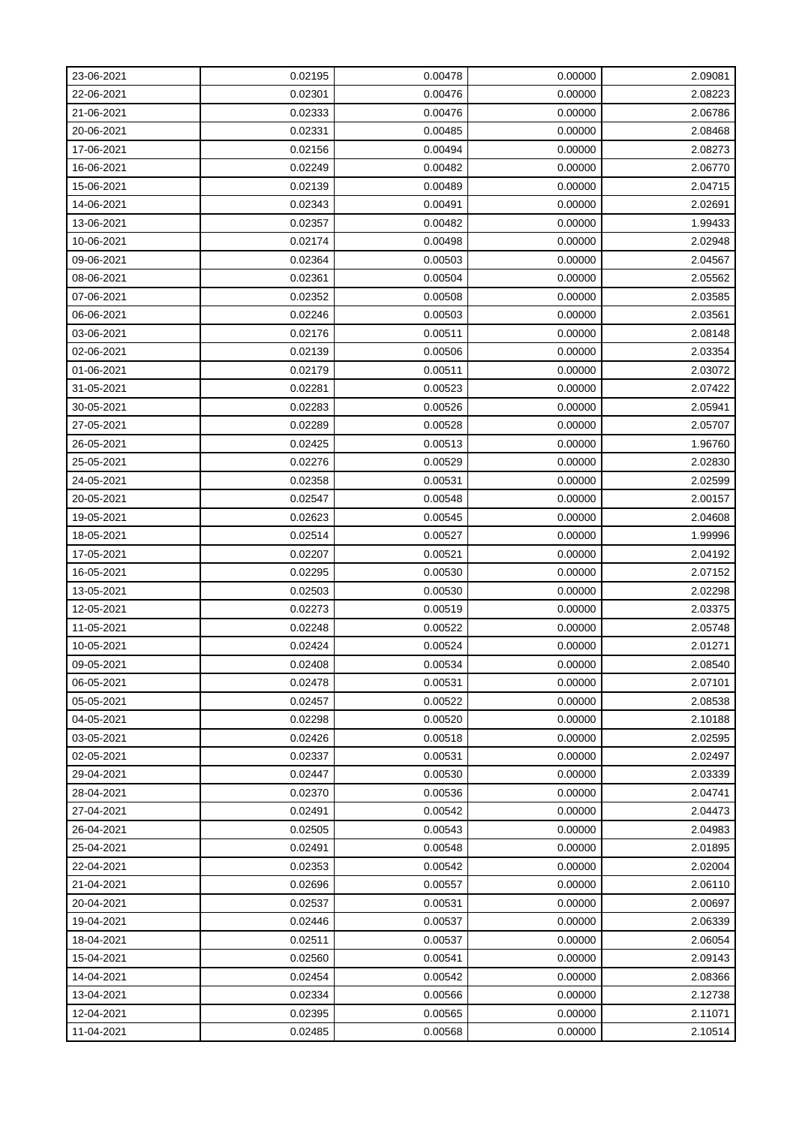| 23-06-2021 | 0.02195 | 0.00478 | 0.00000 | 2.09081 |
|------------|---------|---------|---------|---------|
| 22-06-2021 | 0.02301 | 0.00476 | 0.00000 | 2.08223 |
| 21-06-2021 | 0.02333 | 0.00476 | 0.00000 | 2.06786 |
| 20-06-2021 | 0.02331 | 0.00485 | 0.00000 | 2.08468 |
| 17-06-2021 | 0.02156 | 0.00494 | 0.00000 | 2.08273 |
| 16-06-2021 | 0.02249 | 0.00482 | 0.00000 | 2.06770 |
| 15-06-2021 | 0.02139 | 0.00489 | 0.00000 | 2.04715 |
| 14-06-2021 | 0.02343 | 0.00491 | 0.00000 | 2.02691 |
| 13-06-2021 | 0.02357 | 0.00482 | 0.00000 | 1.99433 |
| 10-06-2021 | 0.02174 | 0.00498 | 0.00000 | 2.02948 |
| 09-06-2021 | 0.02364 | 0.00503 | 0.00000 | 2.04567 |
| 08-06-2021 | 0.02361 | 0.00504 | 0.00000 | 2.05562 |
| 07-06-2021 | 0.02352 | 0.00508 | 0.00000 | 2.03585 |
| 06-06-2021 | 0.02246 | 0.00503 | 0.00000 | 2.03561 |
| 03-06-2021 | 0.02176 | 0.00511 | 0.00000 | 2.08148 |
| 02-06-2021 | 0.02139 | 0.00506 | 0.00000 | 2.03354 |
| 01-06-2021 | 0.02179 | 0.00511 | 0.00000 | 2.03072 |
| 31-05-2021 | 0.02281 | 0.00523 | 0.00000 | 2.07422 |
| 30-05-2021 | 0.02283 | 0.00526 | 0.00000 | 2.05941 |
| 27-05-2021 | 0.02289 | 0.00528 | 0.00000 | 2.05707 |
| 26-05-2021 | 0.02425 | 0.00513 | 0.00000 | 1.96760 |
| 25-05-2021 | 0.02276 | 0.00529 | 0.00000 | 2.02830 |
| 24-05-2021 | 0.02358 | 0.00531 | 0.00000 | 2.02599 |
| 20-05-2021 | 0.02547 | 0.00548 | 0.00000 | 2.00157 |
| 19-05-2021 | 0.02623 | 0.00545 | 0.00000 | 2.04608 |
| 18-05-2021 | 0.02514 | 0.00527 | 0.00000 | 1.99996 |
| 17-05-2021 | 0.02207 | 0.00521 | 0.00000 | 2.04192 |
| 16-05-2021 | 0.02295 | 0.00530 | 0.00000 | 2.07152 |
| 13-05-2021 | 0.02503 | 0.00530 | 0.00000 | 2.02298 |
| 12-05-2021 | 0.02273 | 0.00519 | 0.00000 | 2.03375 |
| 11-05-2021 | 0.02248 | 0.00522 | 0.00000 | 2.05748 |
| 10-05-2021 | 0.02424 | 0.00524 | 0.00000 | 2.01271 |
| 09-05-2021 | 0.02408 | 0.00534 | 0.00000 | 2.08540 |
| 06-05-2021 | 0.02478 | 0.00531 | 0.00000 | 2.07101 |
| 05-05-2021 | 0.02457 | 0.00522 | 0.00000 | 2.08538 |
| 04-05-2021 | 0.02298 | 0.00520 | 0.00000 | 2.10188 |
| 03-05-2021 | 0.02426 | 0.00518 | 0.00000 | 2.02595 |
| 02-05-2021 | 0.02337 | 0.00531 | 0.00000 | 2.02497 |
| 29-04-2021 | 0.02447 | 0.00530 | 0.00000 | 2.03339 |
| 28-04-2021 | 0.02370 | 0.00536 | 0.00000 | 2.04741 |
| 27-04-2021 | 0.02491 | 0.00542 | 0.00000 | 2.04473 |
| 26-04-2021 | 0.02505 | 0.00543 | 0.00000 | 2.04983 |
| 25-04-2021 | 0.02491 | 0.00548 | 0.00000 | 2.01895 |
| 22-04-2021 | 0.02353 | 0.00542 | 0.00000 | 2.02004 |
| 21-04-2021 | 0.02696 | 0.00557 | 0.00000 | 2.06110 |
| 20-04-2021 | 0.02537 | 0.00531 | 0.00000 | 2.00697 |
| 19-04-2021 | 0.02446 | 0.00537 | 0.00000 | 2.06339 |
| 18-04-2021 | 0.02511 | 0.00537 | 0.00000 | 2.06054 |
| 15-04-2021 | 0.02560 | 0.00541 | 0.00000 | 2.09143 |
| 14-04-2021 | 0.02454 | 0.00542 | 0.00000 | 2.08366 |
| 13-04-2021 | 0.02334 | 0.00566 | 0.00000 | 2.12738 |
| 12-04-2021 | 0.02395 | 0.00565 | 0.00000 | 2.11071 |
| 11-04-2021 | 0.02485 | 0.00568 | 0.00000 | 2.10514 |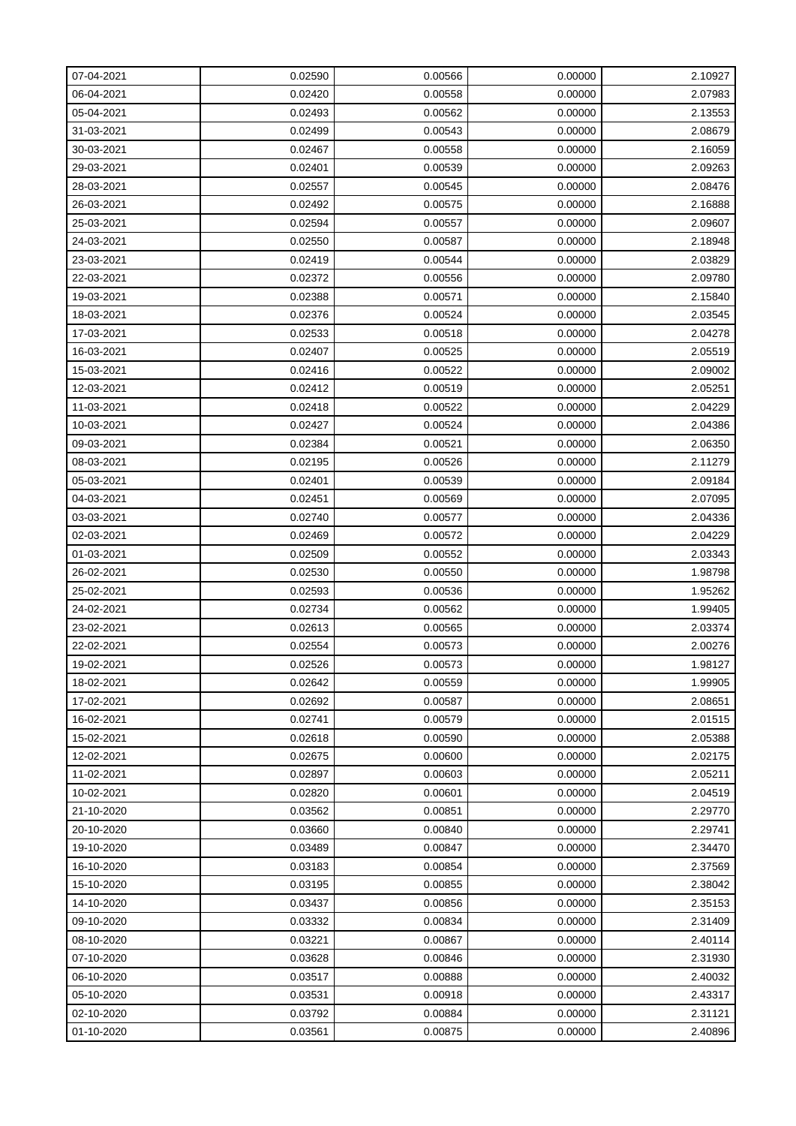| 07-04-2021 | 0.02590 | 0.00566 | 0.00000 | 2.10927 |
|------------|---------|---------|---------|---------|
| 06-04-2021 | 0.02420 | 0.00558 | 0.00000 | 2.07983 |
| 05-04-2021 | 0.02493 | 0.00562 | 0.00000 | 2.13553 |
| 31-03-2021 | 0.02499 | 0.00543 | 0.00000 | 2.08679 |
| 30-03-2021 | 0.02467 | 0.00558 | 0.00000 | 2.16059 |
| 29-03-2021 | 0.02401 | 0.00539 | 0.00000 | 2.09263 |
| 28-03-2021 | 0.02557 | 0.00545 | 0.00000 | 2.08476 |
| 26-03-2021 | 0.02492 | 0.00575 | 0.00000 | 2.16888 |
| 25-03-2021 | 0.02594 | 0.00557 | 0.00000 | 2.09607 |
| 24-03-2021 | 0.02550 | 0.00587 | 0.00000 | 2.18948 |
| 23-03-2021 | 0.02419 | 0.00544 | 0.00000 | 2.03829 |
| 22-03-2021 | 0.02372 | 0.00556 | 0.00000 | 2.09780 |
| 19-03-2021 | 0.02388 | 0.00571 | 0.00000 | 2.15840 |
| 18-03-2021 | 0.02376 | 0.00524 | 0.00000 | 2.03545 |
| 17-03-2021 | 0.02533 | 0.00518 | 0.00000 | 2.04278 |
| 16-03-2021 | 0.02407 | 0.00525 | 0.00000 | 2.05519 |
| 15-03-2021 | 0.02416 | 0.00522 | 0.00000 | 2.09002 |
| 12-03-2021 | 0.02412 | 0.00519 | 0.00000 | 2.05251 |
| 11-03-2021 | 0.02418 | 0.00522 | 0.00000 | 2.04229 |
| 10-03-2021 | 0.02427 | 0.00524 | 0.00000 | 2.04386 |
| 09-03-2021 | 0.02384 | 0.00521 | 0.00000 | 2.06350 |
| 08-03-2021 | 0.02195 | 0.00526 | 0.00000 | 2.11279 |
| 05-03-2021 | 0.02401 | 0.00539 | 0.00000 | 2.09184 |
| 04-03-2021 | 0.02451 | 0.00569 | 0.00000 | 2.07095 |
| 03-03-2021 | 0.02740 | 0.00577 | 0.00000 | 2.04336 |
| 02-03-2021 | 0.02469 | 0.00572 | 0.00000 | 2.04229 |
| 01-03-2021 | 0.02509 | 0.00552 | 0.00000 | 2.03343 |
| 26-02-2021 | 0.02530 | 0.00550 | 0.00000 | 1.98798 |
| 25-02-2021 | 0.02593 | 0.00536 | 0.00000 | 1.95262 |
| 24-02-2021 | 0.02734 | 0.00562 | 0.00000 | 1.99405 |
| 23-02-2021 | 0.02613 | 0.00565 | 0.00000 | 2.03374 |
| 22-02-2021 | 0.02554 | 0.00573 | 0.00000 | 2.00276 |
| 19-02-2021 | 0.02526 | 0.00573 | 0.00000 | 1.98127 |
| 18-02-2021 | 0.02642 | 0.00559 | 0.00000 | 1.99905 |
| 17-02-2021 | 0.02692 | 0.00587 | 0.00000 | 2.08651 |
| 16-02-2021 | 0.02741 | 0.00579 | 0.00000 | 2.01515 |
| 15-02-2021 | 0.02618 | 0.00590 | 0.00000 | 2.05388 |
| 12-02-2021 | 0.02675 | 0.00600 | 0.00000 | 2.02175 |
| 11-02-2021 | 0.02897 | 0.00603 | 0.00000 | 2.05211 |
| 10-02-2021 | 0.02820 | 0.00601 | 0.00000 | 2.04519 |
| 21-10-2020 | 0.03562 | 0.00851 | 0.00000 | 2.29770 |
| 20-10-2020 | 0.03660 | 0.00840 | 0.00000 | 2.29741 |
| 19-10-2020 | 0.03489 | 0.00847 | 0.00000 | 2.34470 |
| 16-10-2020 | 0.03183 | 0.00854 | 0.00000 | 2.37569 |
| 15-10-2020 | 0.03195 | 0.00855 | 0.00000 | 2.38042 |
| 14-10-2020 | 0.03437 | 0.00856 | 0.00000 | 2.35153 |
| 09-10-2020 | 0.03332 | 0.00834 | 0.00000 | 2.31409 |
| 08-10-2020 | 0.03221 | 0.00867 | 0.00000 | 2.40114 |
| 07-10-2020 | 0.03628 | 0.00846 | 0.00000 | 2.31930 |
| 06-10-2020 | 0.03517 | 0.00888 | 0.00000 | 2.40032 |
| 05-10-2020 | 0.03531 | 0.00918 | 0.00000 | 2.43317 |
| 02-10-2020 | 0.03792 | 0.00884 | 0.00000 | 2.31121 |
| 01-10-2020 | 0.03561 | 0.00875 | 0.00000 | 2.40896 |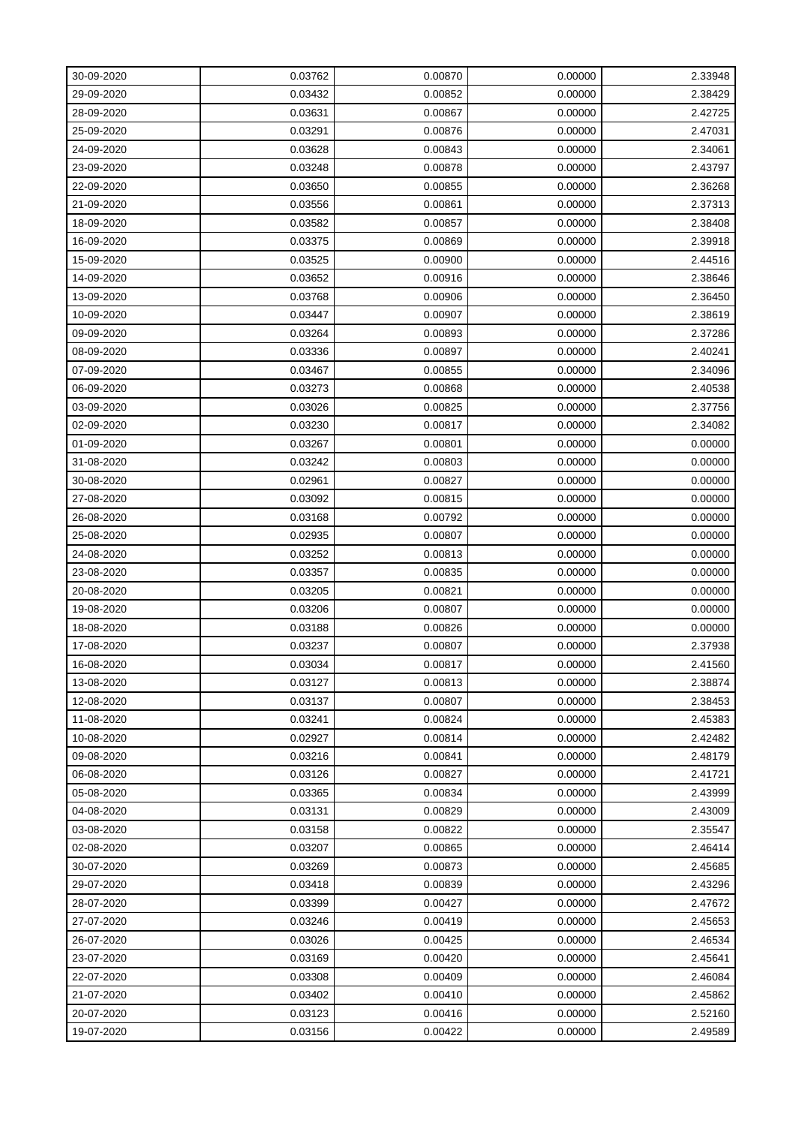| 30-09-2020 | 0.03762 | 0.00870 | 0.00000 | 2.33948 |
|------------|---------|---------|---------|---------|
| 29-09-2020 | 0.03432 | 0.00852 | 0.00000 | 2.38429 |
| 28-09-2020 | 0.03631 | 0.00867 | 0.00000 | 2.42725 |
| 25-09-2020 | 0.03291 | 0.00876 | 0.00000 | 2.47031 |
| 24-09-2020 | 0.03628 | 0.00843 | 0.00000 | 2.34061 |
| 23-09-2020 | 0.03248 | 0.00878 | 0.00000 | 2.43797 |
| 22-09-2020 | 0.03650 | 0.00855 | 0.00000 | 2.36268 |
| 21-09-2020 | 0.03556 | 0.00861 | 0.00000 | 2.37313 |
| 18-09-2020 | 0.03582 | 0.00857 | 0.00000 | 2.38408 |
| 16-09-2020 | 0.03375 | 0.00869 | 0.00000 | 2.39918 |
| 15-09-2020 | 0.03525 | 0.00900 | 0.00000 | 2.44516 |
| 14-09-2020 | 0.03652 | 0.00916 | 0.00000 | 2.38646 |
| 13-09-2020 | 0.03768 | 0.00906 | 0.00000 | 2.36450 |
| 10-09-2020 | 0.03447 | 0.00907 | 0.00000 | 2.38619 |
| 09-09-2020 | 0.03264 | 0.00893 | 0.00000 | 2.37286 |
| 08-09-2020 | 0.03336 | 0.00897 | 0.00000 | 2.40241 |
| 07-09-2020 | 0.03467 | 0.00855 | 0.00000 | 2.34096 |
| 06-09-2020 | 0.03273 | 0.00868 | 0.00000 | 2.40538 |
| 03-09-2020 | 0.03026 | 0.00825 | 0.00000 | 2.37756 |
| 02-09-2020 | 0.03230 | 0.00817 | 0.00000 | 2.34082 |
| 01-09-2020 | 0.03267 | 0.00801 | 0.00000 | 0.00000 |
| 31-08-2020 | 0.03242 | 0.00803 | 0.00000 | 0.00000 |
| 30-08-2020 | 0.02961 | 0.00827 | 0.00000 | 0.00000 |
| 27-08-2020 | 0.03092 | 0.00815 | 0.00000 | 0.00000 |
| 26-08-2020 | 0.03168 | 0.00792 | 0.00000 | 0.00000 |
| 25-08-2020 | 0.02935 | 0.00807 | 0.00000 | 0.00000 |
| 24-08-2020 | 0.03252 | 0.00813 | 0.00000 | 0.00000 |
| 23-08-2020 | 0.03357 | 0.00835 | 0.00000 | 0.00000 |
| 20-08-2020 | 0.03205 | 0.00821 | 0.00000 | 0.00000 |
| 19-08-2020 | 0.03206 | 0.00807 | 0.00000 | 0.00000 |
| 18-08-2020 | 0.03188 | 0.00826 | 0.00000 | 0.00000 |
| 17-08-2020 | 0.03237 | 0.00807 | 0.00000 | 2.37938 |
| 16-08-2020 | 0.03034 | 0.00817 | 0.00000 | 2.41560 |
| 13-08-2020 | 0.03127 | 0.00813 | 0.00000 | 2.38874 |
| 12-08-2020 | 0.03137 | 0.00807 | 0.00000 | 2.38453 |
| 11-08-2020 | 0.03241 | 0.00824 | 0.00000 | 2.45383 |
| 10-08-2020 | 0.02927 | 0.00814 | 0.00000 | 2.42482 |
| 09-08-2020 | 0.03216 | 0.00841 | 0.00000 | 2.48179 |
| 06-08-2020 | 0.03126 | 0.00827 | 0.00000 | 2.41721 |
| 05-08-2020 | 0.03365 | 0.00834 | 0.00000 | 2.43999 |
| 04-08-2020 | 0.03131 | 0.00829 | 0.00000 | 2.43009 |
| 03-08-2020 | 0.03158 | 0.00822 | 0.00000 | 2.35547 |
| 02-08-2020 | 0.03207 | 0.00865 | 0.00000 | 2.46414 |
| 30-07-2020 | 0.03269 | 0.00873 | 0.00000 | 2.45685 |
| 29-07-2020 | 0.03418 | 0.00839 | 0.00000 | 2.43296 |
| 28-07-2020 | 0.03399 | 0.00427 | 0.00000 | 2.47672 |
| 27-07-2020 | 0.03246 | 0.00419 | 0.00000 | 2.45653 |
| 26-07-2020 | 0.03026 | 0.00425 | 0.00000 | 2.46534 |
| 23-07-2020 | 0.03169 | 0.00420 | 0.00000 | 2.45641 |
| 22-07-2020 | 0.03308 | 0.00409 | 0.00000 | 2.46084 |
| 21-07-2020 | 0.03402 | 0.00410 | 0.00000 | 2.45862 |
| 20-07-2020 | 0.03123 | 0.00416 | 0.00000 | 2.52160 |
| 19-07-2020 | 0.03156 | 0.00422 | 0.00000 | 2.49589 |